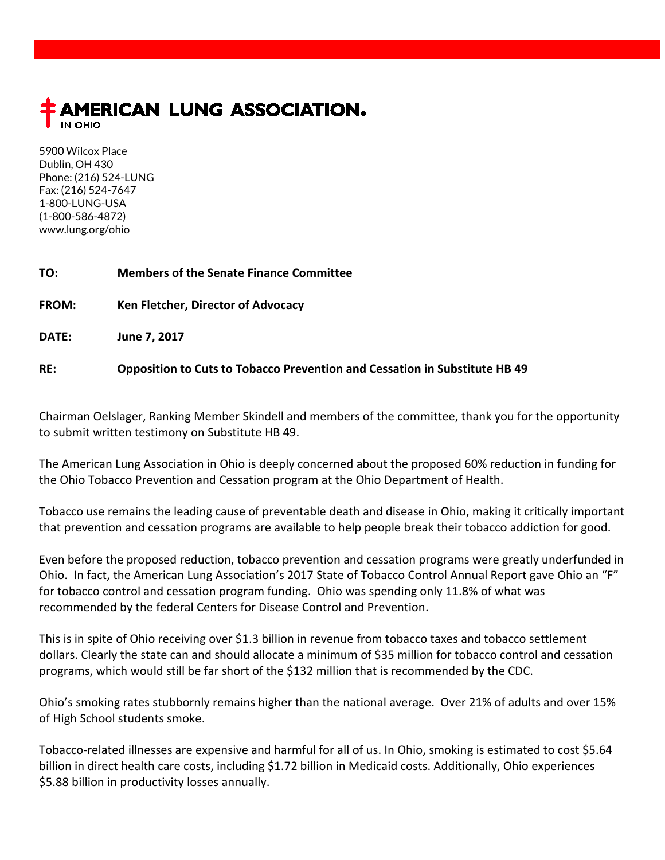

5900 Wilcox Place Dublin, OH 430 Phone: (216) 524-LUNG Fax: (216) 524-7647 1-800-LUNG-USA (1-800-586-4872) www.lung.org/ohio

| TO:          | <b>Members of the Senate Finance Committee</b>                                    |
|--------------|-----------------------------------------------------------------------------------|
| <b>FROM:</b> | Ken Fletcher, Director of Advocacy                                                |
| DATE:        | June 7, 2017                                                                      |
| RE:          | <b>Opposition to Cuts to Tobacco Prevention and Cessation in Substitute HB 49</b> |

Chairman Oelslager, Ranking Member Skindell and members of the committee, thank you for the opportunity to submit written testimony on Substitute HB 49.

The American Lung Association in Ohio is deeply concerned about the proposed 60% reduction in funding for the Ohio Tobacco Prevention and Cessation program at the Ohio Department of Health.

Tobacco use remains the leading cause of preventable death and disease in Ohio, making it critically important that prevention and cessation programs are available to help people break their tobacco addiction for good.

Even before the proposed reduction, tobacco prevention and cessation programs were greatly underfunded in Ohio. In fact, the American Lung Association's 2017 State of Tobacco Control Annual Report gave Ohio an "F" for tobacco control and cessation program funding. Ohio was spending only 11.8% of what was recommended by the federal Centers for Disease Control and Prevention.

This is in spite of Ohio receiving over \$1.3 billion in revenue from tobacco taxes and tobacco settlement dollars. Clearly the state can and should allocate a minimum of \$35 million for tobacco control and cessation programs, which would still be far short of the \$132 million that is recommended by the CDC.

Ohio's smoking rates stubbornly remains higher than the national average. Over 21% of adults and over 15% of High School students smoke.

Tobacco-related illnesses are expensive and harmful for all of us. In Ohio, smoking is estimated to cost \$5.64 billion in direct health care costs, including \$1.72 billion in Medicaid costs. Additionally, Ohio experiences \$5.88 billion in productivity losses annually.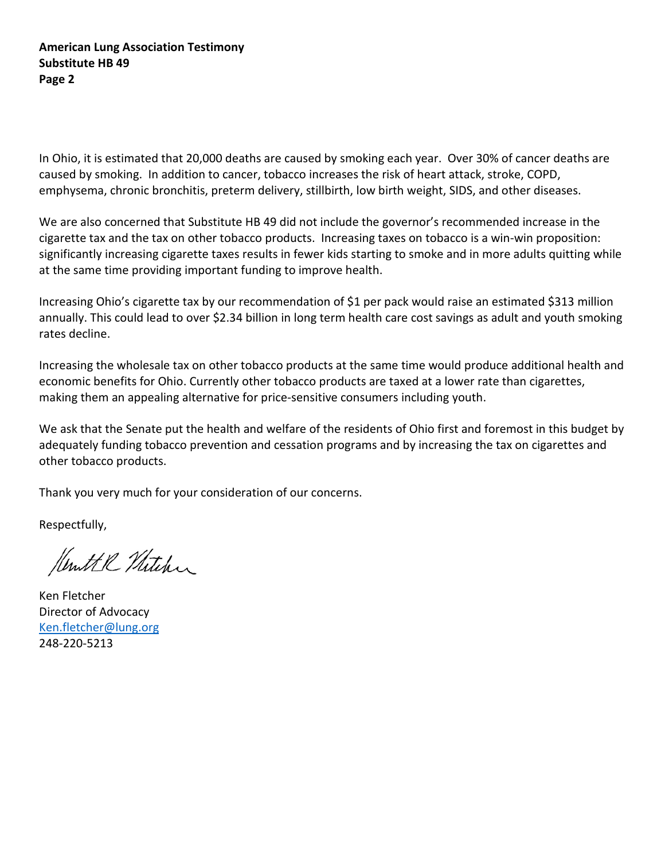**American Lung Association Testimony Substitute HB 49 Page 2**

In Ohio, it is estimated that 20,000 deaths are caused by smoking each year. Over 30% of cancer deaths are caused by smoking. In addition to cancer, tobacco increases the risk of heart attack, stroke, COPD, emphysema, chronic bronchitis, preterm delivery, stillbirth, low birth weight, SIDS, and other diseases.

We are also concerned that Substitute HB 49 did not include the governor's recommended increase in the cigarette tax and the tax on other tobacco products. Increasing taxes on tobacco is a win-win proposition: significantly increasing cigarette taxes results in fewer kids starting to smoke and in more adults quitting while at the same time providing important funding to improve health.

Increasing Ohio's cigarette tax by our recommendation of \$1 per pack would raise an estimated \$313 million annually. This could lead to over \$2.34 billion in long term health care cost savings as adult and youth smoking rates decline.

Increasing the wholesale tax on other tobacco products at the same time would produce additional health and economic benefits for Ohio. Currently other tobacco products are taxed at a lower rate than cigarettes, making them an appealing alternative for price-sensitive consumers including youth.

We ask that the Senate put the health and welfare of the residents of Ohio first and foremost in this budget by adequately funding tobacco prevention and cessation programs and by increasing the tax on cigarettes and other tobacco products.

Thank you very much for your consideration of our concerns.

Respectfully,

Kenttl Mitchen

Ken Fletcher Director of Advocacy [Ken.fletcher@lung.org](mailto:Ken.fletcher@lung.org) 248-220-5213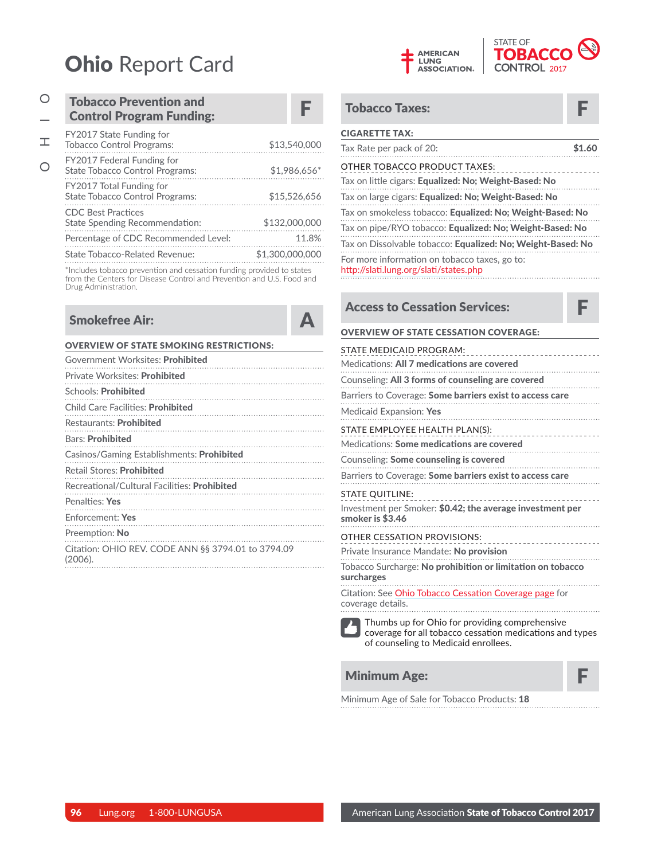# **Ohio Report Card**

\*Includes tobacco prevention and cessation funding provided to states<br>from the Centers for Disease Control and Prevention and U.S. Food and Drug Administration.

## **Smokefree Air:**

| <b>OVERVIEW OF STATE SMOKING RESTRICTIONS:</b>                |  |  |
|---------------------------------------------------------------|--|--|
| Government Worksites: <b>Prohibited</b>                       |  |  |
| Private Worksites: Prohibited                                 |  |  |
| Schools: <b>Prohibited</b>                                    |  |  |
| <b>Child Care Facilities: Prohibited</b>                      |  |  |
| Restaurants: <b>Prohibited</b>                                |  |  |
| <b>Bars: Prohibited</b>                                       |  |  |
| Casinos/Gaming Establishments: <b>Prohibited</b>              |  |  |
| <b>Retail Stores: Prohibited</b>                              |  |  |
| Recreational/Cultural Facilities: <b>Prohibited</b>           |  |  |
| Penalties: Yes                                                |  |  |
| Enforcement: Yes                                              |  |  |
| Preemption: No                                                |  |  |
| Citation: OHIO REV. CODE ANN §§ 3794.01 to 3794.09<br>(2006). |  |  |
|                                                               |  |  |



| <b>Tobacco Taxes:</b>                                                                   |        |  |
|-----------------------------------------------------------------------------------------|--------|--|
| <b>CIGARETTE TAX:</b>                                                                   |        |  |
| Tax Rate per pack of 20:                                                                | \$1.60 |  |
| OTHER TOBACCO PRODUCT TAXES:<br>Tax on little cigars: Equalized: No; Weight-Based: No   |        |  |
| Tax on large cigars: Equalized: No; Weight-Based: No                                    |        |  |
| Tax on smokeless tobacco: Equalized: No: Weight-Based: No                               |        |  |
| Tax on pipe/RYO tobacco: Equalized: No: Weight-Based: No                                |        |  |
| Tax on Dissolvable tobacco: Equalized: No: Weight-Based: No                             |        |  |
| For more information on tobacco taxes, go to:<br>http://slati.lung.org/slati/states.php |        |  |

×

 $\blacktriangle$ 

| <b>Access to Cessation Services:</b>                                                                                                               |
|----------------------------------------------------------------------------------------------------------------------------------------------------|
| <b>OVERVIEW OF STATE CESSATION COVERAGE:</b>                                                                                                       |
| STATE MEDICAID PROGRAM:<br>_______________________<br>Medications: All 7 medications are covered                                                   |
| Counseling: All 3 forms of counseling are covered<br>.                                                                                             |
| Examples to Coverage: <b>Some barriers exist to access care</b><br>Medicaid Expansion: Yes                                                         |
|                                                                                                                                                    |
| Medications: Some medications are covered                                                                                                          |
|                                                                                                                                                    |
| Barriers to Coverage: Some barriers exist to access care                                                                                           |
| <b>STATE QUITLINE:</b>                                                                                                                             |
| Investment per Smoker: \$0.42; the average investment per<br>smoker is \$3.46                                                                      |
| <b>OTHER CESSATION PROVISIONS:</b><br>---------------------                                                                                        |
| Private Insurance Mandate: No provision                                                                                                            |
| Tobacco Surcharge: No prohibition or limitation on tobacco<br>surcharges                                                                           |
| Citation: See Ohio Tobacco Cessation Coverage page for<br>coverage details.                                                                        |
| Thumbs up for Ohio for providing comprehensive<br>coverage for all tobacco cessation medications and types<br>of counseling to Medicaid enrollees. |
| <b>Minimum Age:</b>                                                                                                                                |

Minimum Age of Sale for Tobacco Products: 18